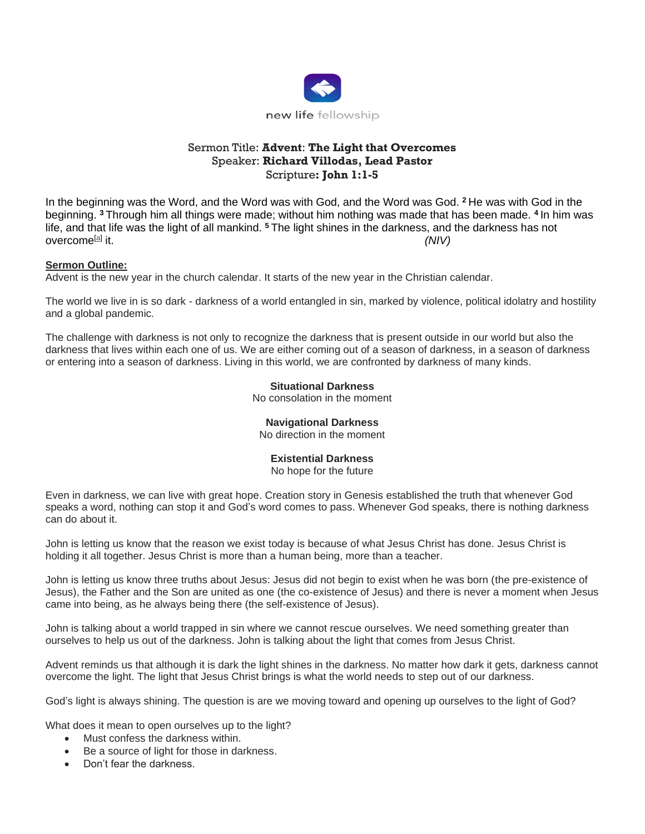

# Sermon Title: **Advent**: **The Light that Overcomes** Speaker: **Richard Villodas, Lead Pastor** Scripture**: John 1:1-5**

In the beginning was the Word, and the Word was with God, and the Word was God. **<sup>2</sup>** He was with God in the beginning. **<sup>3</sup>** Through him all things were made; without him nothing was made that has been made. **<sup>4</sup>** In him was life, and that life was the light of all mankind. **<sup>5</sup>** The light shines in the darkness, and the darkness has not overcome<sup>[\[a\]](https://www.biblegateway.com/passage/?search=john+1&version=NIV#fen-NIV-26050a)</sup> it it. *(NIV)*

## **Sermon Outline:**

Advent is the new year in the church calendar. It starts of the new year in the Christian calendar.

The world we live in is so dark - darkness of a world entangled in sin, marked by violence, political idolatry and hostility and a global pandemic.

The challenge with darkness is not only to recognize the darkness that is present outside in our world but also the darkness that lives within each one of us. We are either coming out of a season of darkness, in a season of darkness or entering into a season of darkness. Living in this world, we are confronted by darkness of many kinds.

## **Situational Darkness**

No consolation in the moment

#### **Navigational Darkness**

No direction in the moment

#### **Existential Darkness**

No hope for the future

Even in darkness, we can live with great hope. Creation story in Genesis established the truth that whenever God speaks a word, nothing can stop it and God's word comes to pass. Whenever God speaks, there is nothing darkness can do about it.

John is letting us know that the reason we exist today is because of what Jesus Christ has done. Jesus Christ is holding it all together. Jesus Christ is more than a human being, more than a teacher.

John is letting us know three truths about Jesus: Jesus did not begin to exist when he was born (the pre-existence of Jesus), the Father and the Son are united as one (the co-existence of Jesus) and there is never a moment when Jesus came into being, as he always being there (the self-existence of Jesus).

John is talking about a world trapped in sin where we cannot rescue ourselves. We need something greater than ourselves to help us out of the darkness. John is talking about the light that comes from Jesus Christ.

Advent reminds us that although it is dark the light shines in the darkness. No matter how dark it gets, darkness cannot overcome the light. The light that Jesus Christ brings is what the world needs to step out of our darkness.

God's light is always shining. The question is are we moving toward and opening up ourselves to the light of God?

What does it mean to open ourselves up to the light?

- Must confess the darkness within.
- Be a source of light for those in darkness.
- Don't fear the darkness.